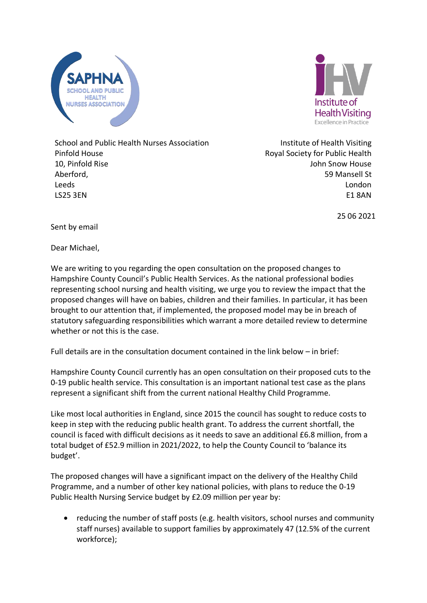



School and Public Health Nurses Association Pinfold House 10, Pinfold Rise Aberford, Leeds LS25 3EN

Institute of Health Visiting Royal Society for Public Health John Snow House 59 Mansell St London E1 8AN

25 06 2021

Sent by email

Dear Michael,

We are writing to you regarding the open consultation on the proposed changes to Hampshire County Council's Public Health Services. As the national professional bodies representing school nursing and health visiting, we urge you to review the impact that the proposed changes will have on babies, children and their families. In particular, it has been brought to our attention that, if implemented, the proposed model may be in breach of statutory safeguarding responsibilities which warrant a more detailed review to determine whether or not this is the case.

Full details are in the consultation document contained in the link below – in brief:

Hampshire County Council currently has an open consultation on their proposed cuts to the 0-19 public health service. This consultation is an important national test case as the plans represent a significant shift from the current national Healthy Child Programme.

Like most local authorities in England, since 2015 the council has sought to reduce costs to keep in step with the reducing public health grant. To address the current shortfall, the council is faced with difficult decisions as it needs to save an additional £6.8 million, from a total budget of £52.9 million in 2021/2022, to help the County Council to 'balance its budget'.

The proposed changes will have a significant impact on the delivery of the Healthy Child Programme, and a number of other key national policies, with plans to reduce the 0-19 Public Health Nursing Service budget by £2.09 million per year by:

• reducing the number of staff posts (e.g. health visitors, school nurses and community staff nurses) available to support families by approximately 47 (12.5% of the current workforce);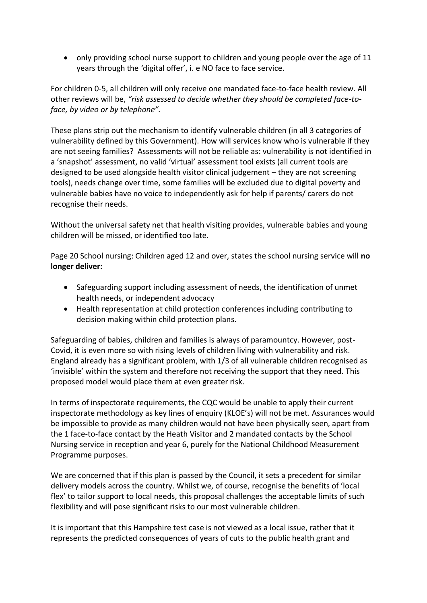• only providing school nurse support to children and young people over the age of 11 years through the *'*digital offer', i. e NO face to face service.

For children 0-5, all children will only receive one mandated face-to-face health review. All other reviews will be, *"risk assessed to decide whether they should be completed face-toface, by video or by telephone".*

These plans strip out the mechanism to identify vulnerable children (in all 3 categories of vulnerability defined by this Government). How will services know who is vulnerable if they are not seeing families? Assessments will not be reliable as: vulnerability is not identified in a 'snapshot' assessment, no valid 'virtual' assessment tool exists (all current tools are designed to be used alongside health visitor clinical judgement – they are not screening tools), needs change over time, some families will be excluded due to digital poverty and vulnerable babies have no voice to independently ask for help if parents/ carers do not recognise their needs.

Without the universal safety net that health visiting provides, vulnerable babies and young children will be missed, or identified too late.

Page 20 School nursing: Children aged 12 and over, states the school nursing service will **no longer deliver:**

- Safeguarding support including assessment of needs, the identification of unmet health needs, or independent advocacy
- Health representation at child protection conferences including contributing to decision making within child protection plans.

Safeguarding of babies, children and families is always of paramountcy. However, post-Covid, it is even more so with rising levels of children living with vulnerability and risk. England already has a significant problem, with 1/3 of all vulnerable children recognised as 'invisible' within the system and therefore not receiving the support that they need. This proposed model would place them at even greater risk.

In terms of inspectorate requirements, the CQC would be unable to apply their current inspectorate methodology as key lines of enquiry (KLOE's) will not be met. Assurances would be impossible to provide as many children would not have been physically seen, apart from the 1 face-to-face contact by the Heath Visitor and 2 mandated contacts by the School Nursing service in reception and year 6, purely for the National Childhood Measurement Programme purposes.

We are concerned that if this plan is passed by the Council, it sets a precedent for similar delivery models across the country. Whilst we, of course, recognise the benefits of 'local flex' to tailor support to local needs, this proposal challenges the acceptable limits of such flexibility and will pose significant risks to our most vulnerable children.

It is important that this Hampshire test case is not viewed as a local issue, rather that it represents the predicted consequences of years of cuts to the public health grant and